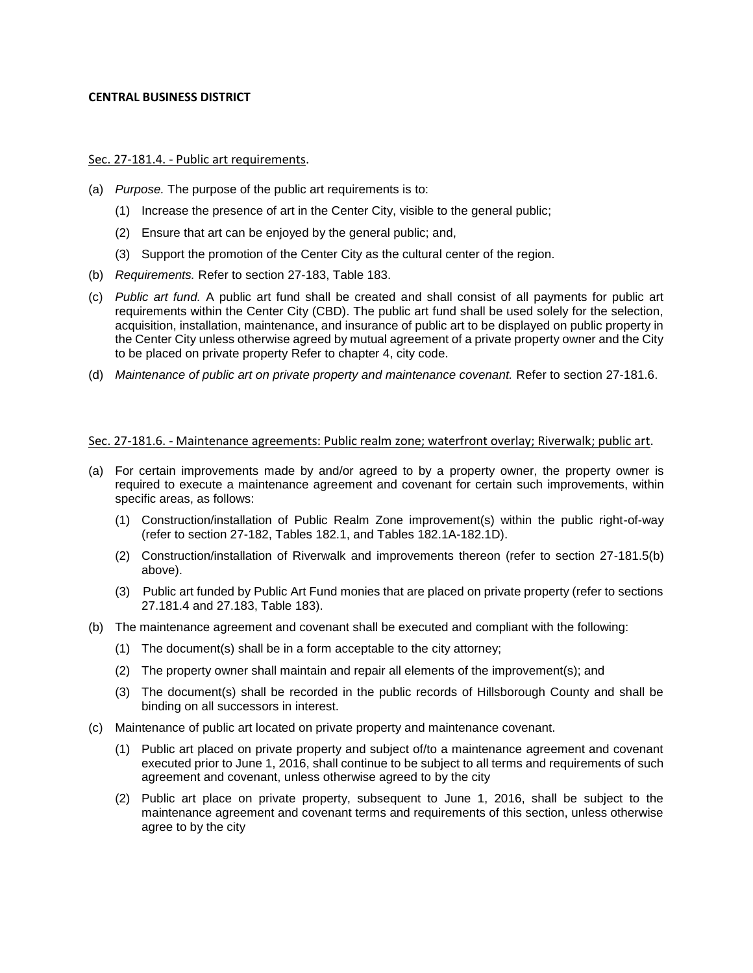## **CENTRAL BUSINESS DISTRICT**

## Sec. 27-181.4. - Public art requirements.

- (a) *Purpose.* The purpose of the public art requirements is to:
	- (1) Increase the presence of art in the Center City, visible to the general public;
	- (2) Ensure that art can be enjoyed by the general public; and,
	- (3) Support the promotion of the Center City as the cultural center of the region.
- (b) *Requirements.* Refer to section 27-183, Table 183.
- (c) *Public art fund.* A public art fund shall be created and shall consist of all payments for public art requirements within the Center City (CBD). The public art fund shall be used solely for the selection, acquisition, installation, maintenance, and insurance of public art to be displayed on public property in the Center City unless otherwise agreed by mutual agreement of a private property owner and the City to be placed on private property Refer to chapter 4, city code.
- (d) *Maintenance of public art on private property and maintenance covenant.* Refer to section 27-181.6.

## Sec. 27-181.6. - Maintenance agreements: Public realm zone; waterfront overlay; Riverwalk; public art.

- (a) For certain improvements made by and/or agreed to by a property owner, the property owner is required to execute a maintenance agreement and covenant for certain such improvements, within specific areas, as follows:
	- (1) Construction/installation of Public Realm Zone improvement(s) within the public right-of-way (refer to section 27-182, Tables 182.1, and Tables 182.1A-182.1D).
	- (2) Construction/installation of Riverwalk and improvements thereon (refer to section 27-181.5(b) above).
	- (3) Public art funded by Public Art Fund monies that are placed on private property (refer to sections 27.181.4 and 27.183, Table 183).
- (b) The maintenance agreement and covenant shall be executed and compliant with the following:
	- (1) The document(s) shall be in a form acceptable to the city attorney;
	- (2) The property owner shall maintain and repair all elements of the improvement(s); and
	- (3) The document(s) shall be recorded in the public records of Hillsborough County and shall be binding on all successors in interest.
- (c) Maintenance of public art located on private property and maintenance covenant.
	- (1) Public art placed on private property and subject of/to a maintenance agreement and covenant executed prior to June 1, 2016, shall continue to be subject to all terms and requirements of such agreement and covenant, unless otherwise agreed to by the city
	- (2) Public art place on private property, subsequent to June 1, 2016, shall be subject to the maintenance agreement and covenant terms and requirements of this section, unless otherwise agree to by the city